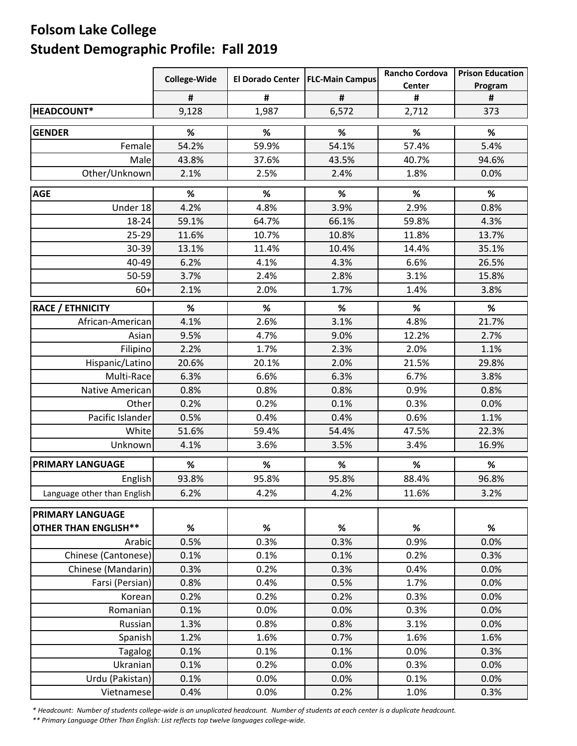## **Folsom Lake College Student Demographic Profile: Fall 2019**

|                             | College-Wide |       | El Dorado Center   FLC-Main Campus | <b>Rancho Cordova</b> | <b>Prison Education</b> |
|-----------------------------|--------------|-------|------------------------------------|-----------------------|-------------------------|
|                             |              |       |                                    | Center                | Program                 |
|                             | #            | #     | #                                  | #                     | #                       |
| HEADCOUNT*                  | 9,128        | 1,987 | 6,572                              | 2,712                 | 373                     |
| <b>GENDER</b>               | %            | %     | $\%$                               | %                     | $\%$                    |
| Female                      | 54.2%        | 59.9% | 54.1%                              | 57.4%                 | 5.4%                    |
| Male                        | 43.8%        | 37.6% | 43.5%                              | 40.7%                 | 94.6%                   |
| Other/Unknown               | 2.1%         | 2.5%  | 2.4%                               | 1.8%                  | 0.0%                    |
| <b>AGE</b>                  | %            | %     | $\%$                               | %                     | $\%$                    |
| Under 18                    | 4.2%         | 4.8%  | 3.9%                               | 2.9%                  | 0.8%                    |
| 18-24                       | 59.1%        | 64.7% | 66.1%                              | 59.8%                 | 4.3%                    |
| $25 - 29$                   | 11.6%        | 10.7% | 10.8%                              | 11.8%                 | 13.7%                   |
| 30-39                       | 13.1%        | 11.4% | 10.4%                              | 14.4%                 | 35.1%                   |
| 40-49                       | 6.2%         | 4.1%  | 4.3%                               | 6.6%                  | 26.5%                   |
| 50-59                       | 3.7%         | 2.4%  | 2.8%                               | 3.1%                  | 15.8%                   |
| $60+$                       | 2.1%         | 2.0%  | 1.7%                               | 1.4%                  | 3.8%                    |
| <b>RACE / ETHNICITY</b>     | $\%$         | $\%$  | %                                  | %                     | %                       |
| African-American            | 4.1%         | 2.6%  | 3.1%                               | 4.8%                  | 21.7%                   |
| Asian                       | 9.5%         | 4.7%  | 9.0%                               | 12.2%                 | 2.7%                    |
| Filipino                    | 2.2%         | 1.7%  | 2.3%                               | 2.0%                  | 1.1%                    |
| Hispanic/Latino             | 20.6%        | 20.1% | 2.0%                               | 21.5%                 | 29.8%                   |
| Multi-Race                  | 6.3%         | 6.6%  | 6.3%                               | 6.7%                  | 3.8%                    |
| <b>Native American</b>      | 0.8%         | 0.8%  | 0.8%                               | 0.9%                  | 0.8%                    |
| Other                       | 0.2%         | 0.2%  | 0.1%                               | 0.3%                  | 0.0%                    |
| Pacific Islander            | 0.5%         | 0.4%  | 0.4%                               | 0.6%                  | 1.1%                    |
| White                       | 51.6%        | 59.4% | 54.4%                              | 47.5%                 | 22.3%                   |
| Unknown                     | 4.1%         | 3.6%  | 3.5%                               | 3.4%                  | 16.9%                   |
| <b>PRIMARY LANGUAGE</b>     | %            | $\%$  | $\%$                               | $\%$                  | %                       |
| English                     | 93.8%        | 95.8% | 95.8%                              | 88.4%                 | 96.8%                   |
| Language other than English | 6.2%         | 4.2%  | 4.2%                               | 11.6%                 | 3.2%                    |
| <b>PRIMARY LANGUAGE</b>     |              |       |                                    |                       |                         |
| <b>OTHER THAN ENGLISH**</b> | %            | %     | %                                  | %                     | %                       |
| Arabic                      | 0.5%         | 0.3%  | 0.3%                               | 0.9%                  | 0.0%                    |
| Chinese (Cantonese)         | 0.1%         | 0.1%  | 0.1%                               | 0.2%                  | 0.3%                    |
| Chinese (Mandarin)          | 0.3%         | 0.2%  | 0.3%                               | 0.4%                  | 0.0%                    |
| Farsi (Persian)             | 0.8%         | 0.4%  | 0.5%                               | 1.7%                  | 0.0%                    |
| Korean                      | 0.2%         | 0.2%  | 0.2%                               | 0.3%                  | 0.0%                    |
| Romanian                    | 0.1%         | 0.0%  | 0.0%                               | 0.3%                  | 0.0%                    |
| Russian                     | 1.3%         | 0.8%  | 0.8%                               | 3.1%                  | 0.0%                    |
| Spanish                     | 1.2%         | 1.6%  | 0.7%                               | 1.6%                  | 1.6%                    |
| Tagalog                     | 0.1%         | 0.1%  | 0.1%                               | 0.0%                  | 0.3%                    |
| Ukranian                    | 0.1%         | 0.2%  | 0.0%                               | 0.3%                  | 0.0%                    |
| Urdu (Pakistan)             | 0.1%         | 0.0%  | 0.0%                               | 0.1%                  | 0.0%                    |
| Vietnamese                  | 0.4%         | 0.0%  | 0.2%                               | 1.0%                  | 0.3%                    |

\* Headcount: Number of students college-wide is an unuplicated headcount. Number of students at each center is a duplicate headcount.

*\*\* Primary Language Other Than English: List reflects top twelve languages college‐wide.*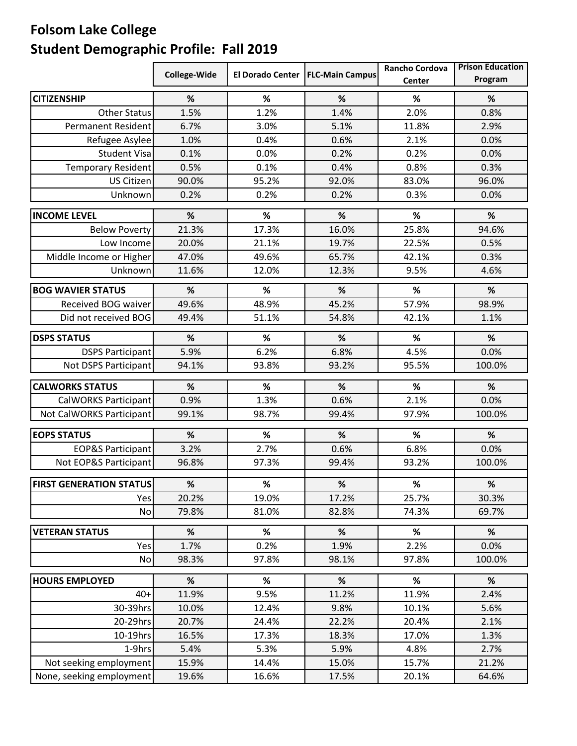## **Folsom Lake College Student Demographic Profile: Fall 2019**

|                                | College-Wide |       | El Dorado Center   FLC-Main Campus | <b>Rancho Cordova</b><br>Center | <b>Prison Education</b><br>Program |
|--------------------------------|--------------|-------|------------------------------------|---------------------------------|------------------------------------|
| <b>CITIZENSHIP</b>             | %            | $\%$  | %                                  | $\%$                            | %                                  |
| <b>Other Status</b>            | 1.5%         | 1.2%  | 1.4%                               | 2.0%                            | 0.8%                               |
| <b>Permanent Resident</b>      | 6.7%         | 3.0%  | 5.1%                               | 11.8%                           | 2.9%                               |
| Refugee Asylee                 | 1.0%         | 0.4%  | 0.6%                               | 2.1%                            | 0.0%                               |
| <b>Student Visa</b>            | 0.1%         | 0.0%  | 0.2%                               | 0.2%                            | 0.0%                               |
| <b>Temporary Resident</b>      | 0.5%         | 0.1%  | 0.4%                               | 0.8%                            | 0.3%                               |
| US Citizen                     | 90.0%        | 95.2% | 92.0%                              | 83.0%                           | 96.0%                              |
| Unknown                        | 0.2%         | 0.2%  | 0.2%                               | 0.3%                            | 0.0%                               |
| <b>INCOME LEVEL</b>            | %            | %     | %                                  | %                               | %                                  |
| <b>Below Poverty</b>           | 21.3%        | 17.3% | 16.0%                              | 25.8%                           | 94.6%                              |
| Low Income                     | 20.0%        | 21.1% | 19.7%                              | 22.5%                           | 0.5%                               |
| Middle Income or Higher        | 47.0%        | 49.6% | 65.7%                              | 42.1%                           | 0.3%                               |
| Unknown                        | 11.6%        | 12.0% | 12.3%                              | 9.5%                            | 4.6%                               |
| <b>BOG WAVIER STATUS</b>       | %            | %     | %                                  | %                               | %                                  |
| Received BOG waiver            | 49.6%        | 48.9% | 45.2%                              | 57.9%                           | 98.9%                              |
| Did not received BOG           | 49.4%        | 51.1% | 54.8%                              | 42.1%                           | 1.1%                               |
| <b>DSPS STATUS</b>             | %            | %     | %                                  | %                               | %                                  |
| <b>DSPS Participant</b>        | 5.9%         | 6.2%  | 6.8%                               | 4.5%                            | 0.0%                               |
| Not DSPS Participant           | 94.1%        | 93.8% | 93.2%                              | 95.5%                           | 100.0%                             |
| <b>CALWORKS STATUS</b>         | %            | $\%$  | %                                  | %                               | %                                  |
| CalWORKS Participant           | 0.9%         | 1.3%  | 0.6%                               | 2.1%                            | 0.0%                               |
| Not CalWORKS Participant       | 99.1%        | 98.7% | 99.4%                              | 97.9%                           | 100.0%                             |
| <b>EOPS STATUS</b>             | %            | $\%$  | %                                  | $\%$                            | $\%$                               |
| <b>EOP&amp;S Participant</b>   | 3.2%         | 2.7%  | 0.6%                               | 6.8%                            | 0.0%                               |
| Not EOP&S Participant          | 96.8%        | 97.3% | 99.4%                              | 93.2%                           | 100.0%                             |
| <b>FIRST GENERATION STATUS</b> | %            | %     | $\%$                               | $\%$                            | $\%$                               |
| Yes                            | 20.2%        | 19.0% | 17.2%                              | 25.7%                           | 30.3%                              |
| No                             | 79.8%        | 81.0% | 82.8%                              | 74.3%                           | 69.7%                              |
|                                |              |       |                                    |                                 |                                    |
| <b>VETERAN STATUS</b>          | %            | %     | %                                  | %                               | %                                  |
| Yes                            | 1.7%         | 0.2%  | 1.9%                               | 2.2%                            | 0.0%                               |
| No                             | 98.3%        | 97.8% | 98.1%                              | 97.8%                           | 100.0%                             |
| <b>HOURS EMPLOYED</b>          | %            | %     | %                                  | %                               | %                                  |
| $40+$                          | 11.9%        | 9.5%  | 11.2%                              | 11.9%                           | 2.4%                               |
| 30-39hrs                       | 10.0%        | 12.4% | 9.8%                               | 10.1%                           | 5.6%                               |
| 20-29hrs                       | 20.7%        | 24.4% | 22.2%                              | 20.4%                           | 2.1%                               |
| 10-19hrs                       | 16.5%        | 17.3% | 18.3%                              | 17.0%                           | 1.3%                               |
| 1-9hrs                         | 5.4%         | 5.3%  | 5.9%                               | 4.8%                            | 2.7%                               |
| Not seeking employment         | 15.9%        | 14.4% | 15.0%                              | 15.7%                           | 21.2%                              |
| None, seeking employment       | 19.6%        | 16.6% | 17.5%                              | 20.1%                           | 64.6%                              |